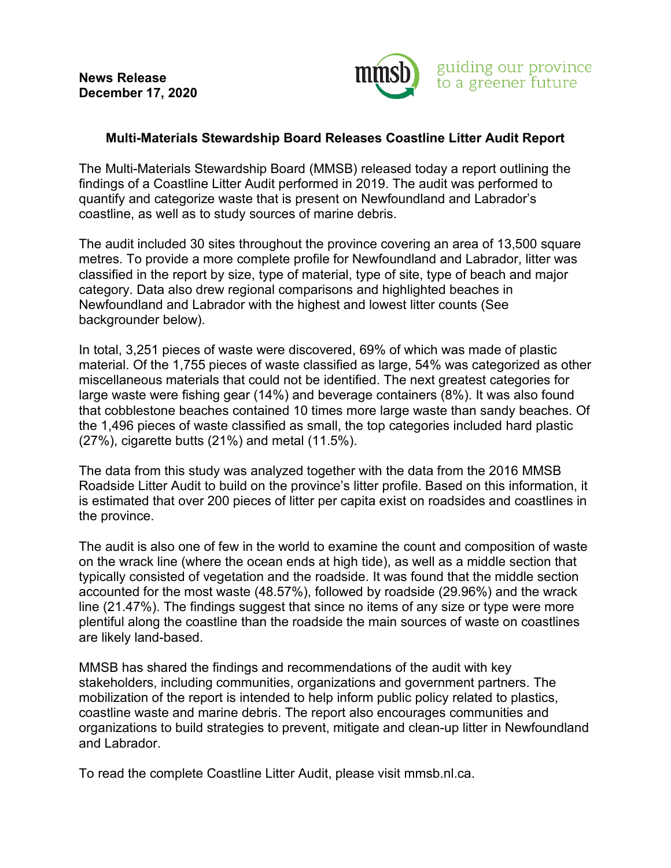**News Release December 17, 2020** 



## **Multi-Materials Stewardship Board Releases Coastline Litter Audit Report**

The Multi-Materials Stewardship Board (MMSB) released today a report outlining the findings of a Coastline Litter Audit performed in 2019. The audit was performed to quantify and categorize waste that is present on Newfoundland and Labrador's coastline, as well as to study sources of marine debris.

The audit included 30 sites throughout the province covering an area of 13,500 square metres. To provide a more complete profile for Newfoundland and Labrador, litter was classified in the report by size, type of material, type of site, type of beach and major category. Data also drew regional comparisons and highlighted beaches in Newfoundland and Labrador with the highest and lowest litter counts (See backgrounder below).

In total, 3,251 pieces of waste were discovered, 69% of which was made of plastic material. Of the 1,755 pieces of waste classified as large, 54% was categorized as other miscellaneous materials that could not be identified. The next greatest categories for large waste were fishing gear (14%) and beverage containers (8%). It was also found that cobblestone beaches contained 10 times more large waste than sandy beaches. Of the 1,496 pieces of waste classified as small, the top categories included hard plastic (27%), cigarette butts (21%) and metal (11.5%).

The data from this study was analyzed together with the data from the 2016 MMSB Roadside Litter Audit to build on the province's litter profile. Based on this information, it is estimated that over 200 pieces of litter per capita exist on roadsides and coastlines in the province.

The audit is also one of few in the world to examine the count and composition of waste on the wrack line (where the ocean ends at high tide), as well as a middle section that typically consisted of vegetation and the roadside. It was found that the middle section accounted for the most waste (48.57%), followed by roadside (29.96%) and the wrack line (21.47%). The findings suggest that since no items of any size or type were more plentiful along the coastline than the roadside the main sources of waste on coastlines are likely land-based.

MMSB has shared the findings and recommendations of the audit with key stakeholders, including communities, organizations and government partners. The mobilization of the report is intended to help inform public policy related to plastics, coastline waste and marine debris. The report also encourages communities and organizations to build strategies to prevent, mitigate and clean-up litter in Newfoundland and Labrador.

To read the complete Coastline Litter Audit, please visit mmsb.nl.ca.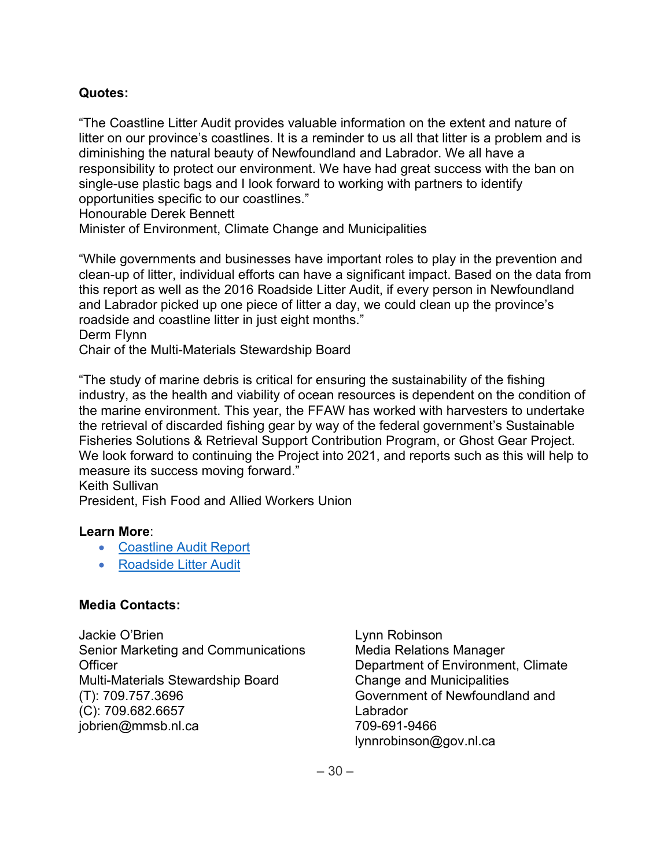# **Quotes:**

"The Coastline Litter Audit provides valuable information on the extent and nature of litter on our province's coastlines. It is a reminder to us all that litter is a problem and is diminishing the natural beauty of Newfoundland and Labrador. We all have a responsibility to protect our environment. We have had great success with the ban on single-use plastic bags and I look forward to working with partners to identify opportunities specific to our coastlines."

Honourable Derek Bennett

Minister of Environment, Climate Change and Municipalities

"While governments and businesses have important roles to play in the prevention and clean-up of litter, individual efforts can have a significant impact. Based on the data from this report as well as the 2016 Roadside Litter Audit, if every person in Newfoundland and Labrador picked up one piece of litter a day, we could clean up the province's roadside and coastline litter in just eight months."

Derm Flynn

Chair of the Multi-Materials Stewardship Board

"The study of marine debris is critical for ensuring the sustainability of the fishing industry, as the health and viability of ocean resources is dependent on the condition of the marine environment. This year, the FFAW has worked with harvesters to undertake the retrieval of discarded fishing gear by way of the federal government's Sustainable Fisheries Solutions & Retrieval Support Contribution Program, or Ghost Gear Project. We look forward to continuing the Project into 2021, and reports such as this will help to measure its success moving forward."

Keith Sullivan

President, Fish Food and Allied Workers Union

#### **Learn More**:

- [Coastline Audit Report](http://mmsb.nl.ca/wp-content/uploads/2020/12/Newfoundland-and-Labrador-Coastline-Litter-Audit-Report_December-2020.pdf)
- [Roadside Litter Audit](https://mmsb.nl.ca/wp-content/uploads/2020/12/Newfoundland-and-Labrador-2016-Roadside-Litter-Audit-Reduced.pdf)

# **Media Contacts:**

Jackie O'Brien Senior Marketing and Communications **Officer** Multi-Materials Stewardship Board (T): 709.757.3696 (C): 709.682.6657 [jobrien@mmsb.nl.ca](mailto:jobrien@mmsb.nl.ca)

Lynn Robinson Media Relations Manager Department of Environment, Climate Change and Municipalities Government of Newfoundland and Labrador 709-691-9466 [lynnrobinson@gov.nl.ca](mailto:lynnrobinson@gov.nl.ca)